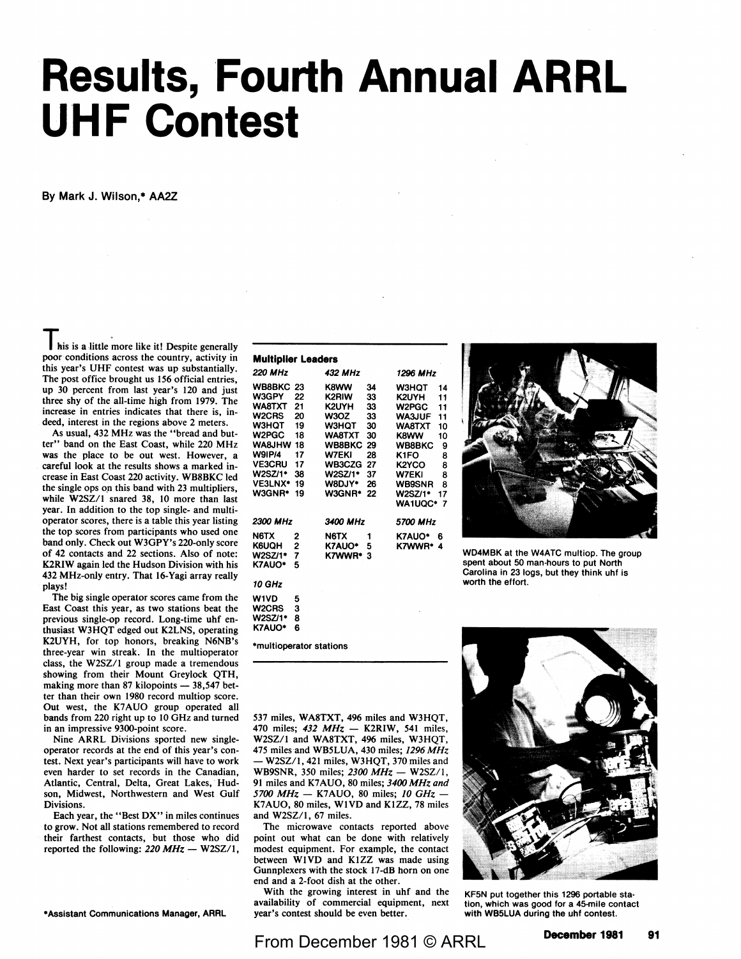## **Results, Fourth Annual ARRL UHF Contest**

**By Mark** J. Wilson,\* AA2Z

his is a little more like it! Despite generally poor conditions across the country, activity in this year's UHF contest was up substantially. The post office brought us 156 official entries, up 30 percent from last year's 120 and just three shy of the all-time high from 1979. The increase in entries indicates that there is, indeed, interest in the regions above 2 meters.

As usual, 432 MHz was the "bread and butter" band on the East Coast, while 220 MHz was the place to be out west. However, a careful look at the results shows a marked increase in East Coast 220 activity. WB8BKC led the single ops on this band with 23 multipliers, while W2SZ/I snared 38, 10 more than last year. In addition to the top single- and multioperator scores, there is a table this year listing the top scores from participants who used one band only. Check out W3GPY's 220-only score of 42 contacts and 22 sections. Also of note: **K2RIW** again led the Hudson Division with his 432 MHz-only entry. That 16-Yagi array really plays!

The big single operator scores came from the East Coast this year, as two stations beat the previous single-op record. Long-time uhf enthusiast W3HQT edged out K2LNS, operating K2UYH, for top honors, breaking N6NB's three-year win streak. In the multioperator class, the W2SZ/I group made a tremendous showing from their Mount Greylock QTH, making more than 87 kilopoints  $-38,547$  better than their own 1980 record multiop score. Out west, the K7AUO group operated all bands from 220 right up to 10 GHz and turned in an impressive 9300-point score.

Nine ARRL Divisions sported new singleoperator records at the end of this year's contest. Next year's participants will have to work even harder to set records in the Canadian, Atlantic, Central, Delta, Great Lakes, Hudson, Midwest, Northwestern and West Gulf Divisions.

Each year, the "Best DX" in miles continues to grow. Not all stations remembered to record their farthest contacts, but those who did reported the following: 220 MHz - W2SZ/1,

•Assistant Communications **Manager,** ARAL

| <b>Multiplier Leaders</b>                                                                                                                                                                      |                                                                |                                                                                                                                           |                                                                      |                                                                                                                                                                                |                                                                      |  |  |  |
|------------------------------------------------------------------------------------------------------------------------------------------------------------------------------------------------|----------------------------------------------------------------|-------------------------------------------------------------------------------------------------------------------------------------------|----------------------------------------------------------------------|--------------------------------------------------------------------------------------------------------------------------------------------------------------------------------|----------------------------------------------------------------------|--|--|--|
| <b>220 MHz</b>                                                                                                                                                                                 |                                                                | 432 MHz                                                                                                                                   |                                                                      | 1296 MHz                                                                                                                                                                       |                                                                      |  |  |  |
| <b>WB8BKC 23</b><br><b>W3GPY</b><br><b>WA8TXT</b><br>W <sub>2</sub> CRS<br><b>W3HOT</b><br>W2PGC<br><b>WA&amp;JHW</b><br><b>W9IP/4</b><br><b>VE3CRU</b><br>W2SZ/1*<br><b>VE3LNX*</b><br>W3GNR* | 22<br>21<br>20<br>19<br>18<br>18<br>17<br>17<br>38<br>19<br>19 | K8WW<br>K2RIW<br>K2UYH<br>W3OZ<br>W3HQT<br><b>WA8TXT</b><br><b>WB8BKC</b><br>W7EKI<br><b>WB3CZG</b><br>W2SZ/1*<br><b>W8DJY*</b><br>W3GNR* | 34<br>33<br>33<br>33<br>30<br>30<br>29<br>28<br>27<br>37<br>26<br>22 | W3HOT<br>K2UYH<br><b>W2PGC</b><br><b>WA3JUF</b><br>WA8TXT<br><b>K8WW</b><br><b>WB8BKC</b><br>K <sub>1</sub> FO<br>K2YCO<br>W7EKI<br><b>WB9SNR</b><br>W2SZ/1*<br><b>WA1UQC*</b> | 14<br>11<br>11<br>11<br>10<br>10<br>9<br>8<br>8<br>8<br>8<br>17<br>7 |  |  |  |
| 2300 MHz                                                                                                                                                                                       |                                                                | 3400 MHz                                                                                                                                  |                                                                      | 5700 MHz                                                                                                                                                                       |                                                                      |  |  |  |
| N6TX<br>K6UQH<br><b>W2SZ/1*</b><br>K7AUO*                                                                                                                                                      | 2<br>2<br>7<br>5                                               | N6TX<br>K7AUO*<br>K7WWR*                                                                                                                  | 1<br>5<br>3                                                          | K7AUO*<br>K7WWR*                                                                                                                                                               | 6<br>4                                                               |  |  |  |
| 10 GHz                                                                                                                                                                                         |                                                                |                                                                                                                                           |                                                                      |                                                                                                                                                                                |                                                                      |  |  |  |
| <b>W1VD</b><br>W <sub>2</sub> CRS<br>W2SZ/1*<br>K7AUO*                                                                                                                                         | 5<br>3<br>8<br>6                                               |                                                                                                                                           |                                                                      |                                                                                                                                                                                |                                                                      |  |  |  |

•multioperator stations

**WD4MBK** at the W4ATC multiop. The group spent about 50 man-hours to put North Carolina in 23 logs, but they think uhf is worth the effort.

537 miles, WA8TXT, 496 miles and W3HQT, 470 miles; 432 MHz - K2RIW, 541 miles, W2SZ/I and WA8TXT, 496 miles, W3HQT, 475 miles and WB5LUA, 430 miles; 1296 *MHz*  - W2SZ/1, 421 miles, W3HQT, 370 miles and WB9SNR, 350 miles; 2300 MHz - W2SZ/1, 91 miles and K7AUO, 80 miles; *3400 MHz and 5700 MHz* - K7 AUO, 80 miles; JO *GHz* - K7AUO, 80 miles, WIVD and KIZZ, 78 miles and W2SZ/1, 67 miles.

The microwave contacts reported above point out what can be done with relatively modest equipment. For example, the contact between WIVD and KIZZ was made using Gunnplexers with the stock 17-dB horn on one end and a 2-foot dish at the other.

With the growing interest in uhf and the availability of commercial equipment, next year's contest should be even better.



KF5N put together this 1296 portable station, which was good for a 45-mile contact with WB5LUA during the uhf contest.

From December 1981 © ARRL